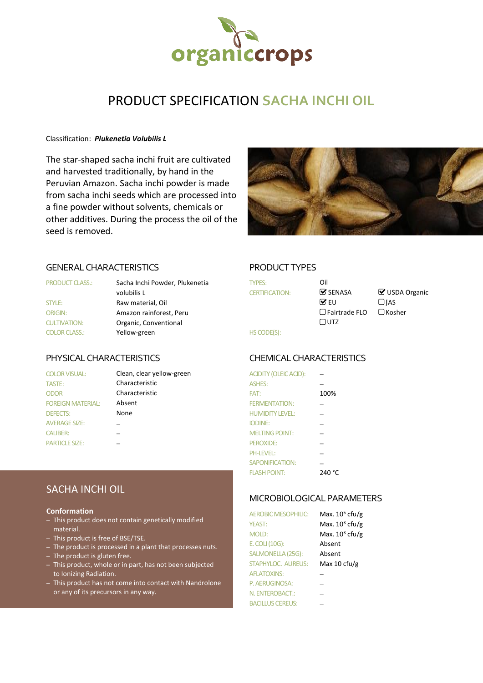

# PRODUCT SPECIFICATION **SACHA INCHI OIL**

### Classification: *Plukenetia Volubilis L*

The star-shaped sacha inchi fruit are cultivated and harvested traditionally, by hand in the Peruvian Amazon. Sacha inchi powder is made from sacha inchi seeds which are processed into a fine powder without solvents, chemicals or other additives. During the process the oil of the seed is removed.



# GENERAL CHARACTERISTICS PRODUCT TYPES

| <b>PRODUCT CLASS.:</b> | Sacha Inchi Powder, Plukenetia | TYPES:                | Oil                           |       |
|------------------------|--------------------------------|-----------------------|-------------------------------|-------|
|                        | volubilis L                    | <b>CERTIFICATION:</b> | $\mathbf{\mathcal{G}}$ SENASA | ⊗ ∪s  |
| STYLE:                 | Raw material, Oil              |                       | $\triangledown$ EU            | ∃IAS  |
| <b>ORIGIN:</b>         | Amazon rainforest, Peru        |                       | $\Box$ Fairtrade FLO          | l Kos |
| <b>CULTIVATION:</b>    | Organic, Conventional          |                       | $\Box$ utz                    |       |
| <b>COLOR CLASS.:</b>   | Yellow-green                   | HS CODE(S):           |                               |       |

# TASTE: Characteristic ODOR Characteristic FOREIGN MATERIAL: Absent **AVERAGE SIZE:** PARTICLE SIZE:

COLOR VISUAL: Clean, clear yellow-green

| <b>TYPES:</b>         |  |
|-----------------------|--|
| <b>CERTIFICATION:</b> |  |
|                       |  |
|                       |  |
|                       |  |
| <b>HS CODE(S):</b>    |  |

 $\triangledown$  SENASA  $\triangledown$  USDA Organic □ Fairtrade FLO □ Kosher

# PHYSICAL CHARACTERISTICS CHEMICALCHARACTERISTICS

| <b>COLOR VISUAL:</b>     | Clean, clear yellow-green | ACIDITY (OLEIC ACID):  |        |
|--------------------------|---------------------------|------------------------|--------|
| TASTE:                   | Characteristic            | <b>ASHES:</b>          |        |
| <b>ODOR</b>              | Characteristic            | FAT:                   | 100%   |
| <b>FOREIGN MATERIAL:</b> | Absent                    | <b>FERMENTATION:</b>   |        |
| <b>DEFECTS:</b>          | None                      | <b>HUMIDITY LEVEL:</b> |        |
| <b>AVERAGE SIZE:</b>     |                           | <b>IODINE:</b>         |        |
| <b>CALIBER:</b>          |                           | <b>MELTING POINT:</b>  |        |
| <b>PARTICLE SIZE:</b>    |                           | PEROXIDE:              |        |
|                          |                           | <b>PH-LEVEL:</b>       |        |
|                          |                           | SAPONIFICATION:        |        |
|                          |                           | <b>FLASH POINT:</b>    | 240 °C |

### MICROBIOLOGICAL PARAMETERS

| <b>AEROBIC MESOPHILIC:</b> | Max. $105$ cfu/g  |
|----------------------------|-------------------|
| YEAST:                     | Max. $10^3$ cfu/g |
| <b>MOLD:</b>               | Max. $10^3$ cfu/g |
| E. COLI (10G):             | Absent            |
| SALMONELLA (25G):          | Absent            |
| <b>STAPHYLOC. AUREUS:</b>  | Max 10 cfu/g      |
| <b>AFLATOXINS:</b>         |                   |
| P. AERUGINOSA:             |                   |
| N. ENTEROBACT.:            |                   |
| <b>BACILLUS CEREUS:</b>    |                   |

# SACHA INCHI OIL

### **Conformation**

- This product does not contain genetically modified material.
- This product is free of BSE/TSE.
- The product is processed in a plant that processes nuts.
- The product is gluten free.
- This product, whole or in part, has not been subjected to Ionizing Radiation.
- This product has not come into contact with Nandrolone or any of its precursors in any way.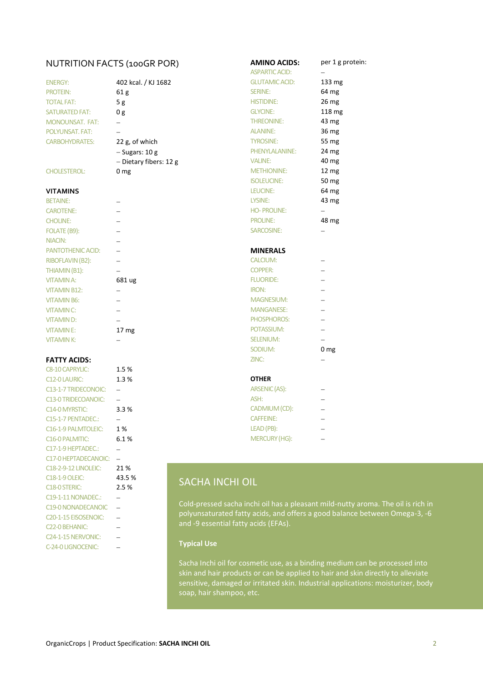# NUTRITION FACTS (100GR POR) **AMINO ACIDS:** per 1 g protein:

| <b>ENERGY:</b>         | 402 kcal. / KJ 1682    |
|------------------------|------------------------|
| <b>PROTEIN:</b>        | 61 g                   |
| <b>TOTAL FAT:</b>      | 5 g                    |
| <b>SATURATED FAT:</b>  | 0g                     |
| <b>MONOUNSAT, FAT:</b> |                        |
| POLYUNSAT, FAT:        |                        |
| <b>CARBOHYDRATES:</b>  | 22 g, of which         |
|                        | $-$ Sugars: 10 g       |
|                        | - Dietary fibers: 12 g |
| <b>CHOLESTEROL:</b>    | mg                     |

| <b>BETAINE:</b>     |                  | <b>LYSINE:</b>    |
|---------------------|------------------|-------------------|
| <b>CAROTENE:</b>    |                  | <b>HO-PROLINE</b> |
| <b>CHOLINE:</b>     |                  | <b>PROLINE:</b>   |
| FOLATE (B9):        |                  | SARCOSINE:        |
| NIACIN:             |                  |                   |
| PANTOTHENIC ACID:   |                  | <b>MINERALS</b>   |
| RIBOFLAVIN (B2):    |                  | <b>CALCIUM:</b>   |
| THIAMIN (B1):       |                  | <b>COPPER:</b>    |
| <b>VITAMINA:</b>    | 681 ug           | <b>FLUORIDE:</b>  |
| <b>VITAMIN B12:</b> |                  | <b>IRON:</b>      |
| <b>VITAMIN B6:</b>  |                  | <b>MAGNESIUM</b>  |
| <b>VITAMIN C:</b>   |                  | <b>MANGANESE</b>  |
| <b>VITAMIND:</b>    |                  | <b>PHOSPHORO</b>  |
| <b>VITAMINE:</b>    | 17 <sub>mg</sub> | POTASSIUM:        |
| <b>VITAMINK:</b>    |                  | SELENIUM:         |

## **FATTY ACIDS:**

| <b>C8-10 CAPRYLIC:</b>            | 1.5%   |                                                                                                |  |
|-----------------------------------|--------|------------------------------------------------------------------------------------------------|--|
| <b>C12-0 LAURIC:</b>              | 1.3%   | <b>OTHER</b>                                                                                   |  |
| C13-1-7 TRIDECONOIC:              |        | ARSENIC (AS):                                                                                  |  |
| <b>C13-0 TRIDECOANOIC:</b>        |        | ASH:<br>$\overline{\phantom{0}}$                                                               |  |
| C <sub>14</sub> -0 MYRSTIC:       | 3.3%   | CADMIUM (CD):<br>$\overline{\phantom{0}}$                                                      |  |
| C <sub>15</sub> -1-7 PENTADEC.:   |        | <b>CAFFEINE:</b><br>$\overline{\phantom{0}}$                                                   |  |
| C16-1-9 PALMTOLEIC:               | 1 %    | $LEAD(PB)$ :<br>$\overline{\phantom{0}}$                                                       |  |
| C16-0 PALMITIC:                   | 6.1%   | <b>MERCURY (HG):</b>                                                                           |  |
| C17-1-9 HEPTADEC.:                |        |                                                                                                |  |
| C17-0 HEPTADECANOIC:              |        |                                                                                                |  |
| <b>C18-2-9-12 LINOLEIC:</b>       | 21 %   |                                                                                                |  |
| <b>C18-1-9 OLEIC:</b>             | 43.5 % | <b>SACHA INCHI OIL</b>                                                                         |  |
| C <sub>18</sub> -0 STERIC:        | 2.5%   |                                                                                                |  |
| C19-1-11 NONADEC.:                |        |                                                                                                |  |
| <b>C19-0 NONADECANOIC</b>         |        | Cold-pressed sacha inchi oil has a pleasant m<br>polyunsaturated fatty acids, and offers a goo |  |
| C <sub>20</sub> -1-15 EISOSENOIC: |        |                                                                                                |  |
| C <sub>22</sub> -0 BEHANIC:       |        | and -9 essential fatty acids (EFAs).                                                           |  |
| C <sub>24</sub> -1-15 NERVONIC:   |        |                                                                                                |  |
| C-24-0 LIGNOCENIC:                |        | <b>Typical Use</b>                                                                             |  |
|                                   |        |                                                                                                |  |

| NUTRITION FACTS (100GR POR) |                          | <b>AMINO ACIDS:</b>   | per 1 g           |
|-----------------------------|--------------------------|-----------------------|-------------------|
|                             |                          | <b>ASPARTIC ACID:</b> |                   |
| <b>ENERGY:</b>              | 402 kcal. / KJ 1682      | <b>GLUTAMIC ACID:</b> | 133 mg            |
| <b>PROTEIN:</b>             | 61 <sub>g</sub>          | <b>SERINE:</b>        | 64 mg             |
| TOTAL FAT:                  | 5g                       | <b>HISTIDINE:</b>     | 26 mg             |
| <b>SATURATED FAT:</b>       | 0 g                      | <b>GLYCINE:</b>       | 118 mg            |
| <b>MONOUNSAT. FAT:</b>      |                          | <b>THREONINE:</b>     | 43 mg             |
| POLYUNSAT. FAT:             |                          | <b>ALANINE:</b>       | 36 mg             |
| <b>CARBOHYDRATES:</b>       | 22 g, of which           | <b>TYROSINE:</b>      | 55 mg             |
|                             | $-$ Sugars: 10 g         | PHENYLALANINE:        | 24 mg             |
|                             | - Dietary fibers: 12 g   | <b>VALINE:</b>        | 40 mg             |
| <b>CHOLESTEROL:</b>         | 0 <sub>mg</sub>          | <b>METHIONINE:</b>    | 12 mg             |
|                             |                          | <b>ISOLEUCINE:</b>    | 50 mg             |
| VITAMINS                    |                          | LEUCINE:              | 64 mg             |
| <b>BETAINE:</b>             |                          | LYSINE:               | 43 mg             |
| <b>CAROTENE:</b>            |                          | <b>HO-PROLINE:</b>    | $\qquad \qquad -$ |
| <b>CHOLINE:</b>             |                          | <b>PROLINE:</b>       | 48 mg             |
| FOLATE (B9):                |                          | SARCOSINE:            |                   |
| NIACIN:                     |                          |                       |                   |
| PANTOTHENIC ACID:           |                          | <b>MINERALS</b>       |                   |
| RIBOFLAVIN (B2):            |                          | <b>CALCIUM:</b>       |                   |
| THIAMIN (B1):               |                          | <b>COPPER:</b>        |                   |
| VITAMIN A:                  | 681 ug                   | <b>FLUORIDE:</b>      |                   |
| <b>VITAMIN B12:</b>         |                          | <b>IRON:</b>          |                   |
| <b>VITAMIN B6:</b>          |                          | <b>MAGNESIUM:</b>     |                   |
| <b>VITAMIN C:</b>           |                          | <b>MANGANESE:</b>     |                   |
| VITAMIN D:                  |                          | PHOSPHOROS:           |                   |
| <b>VITAMINE:</b>            | 17 mg                    | POTASSIUM:            |                   |
| <b>VITAMIN K:</b>           |                          | <b>SELENIUM:</b>      |                   |
|                             |                          | SODIUM:               | 0 <sub>mg</sub>   |
| <b>FATTY ACIDS:</b>         |                          | ZINC:                 |                   |
| <b>C8-10 CAPRYLIC:</b>      | 1.5%                     |                       |                   |
| C12-0 LAURIC:               | 1.3%                     | <b>OTHER</b>          |                   |
| C13-1-7 TRIDECONOIC:        |                          | <b>ARSENIC (AS):</b>  |                   |
| <b>C13-0 TRIDECOANOIC:</b>  | $\overline{\phantom{0}}$ | ASH:                  |                   |
| C14-0 MYRSTIC:              | 3.3%                     | CADMIUM (CD):         |                   |
| C15-1-7 PENTADEC.:          |                          | <b>CAFFEINE:</b>      |                   |
|                             |                          | $1 - 1 - 1 - 1$       |                   |

# SACHA INCHI OIL

Cold-pressed sacha inchi oil has a pleasant mild-nutty aroma. The oil is rich in polyunsaturated fatty acids, and offers a good balance between Omega-3, -6 and -9 essential fatty acids (EFAs).

### **Typical Use**

Sacha Inchi oil for cosmetic use, as a binding medium can be processed into skin and hair products or can be applied to hair and skin directly to alleviate sensitive, damaged or irritated skin. Industrial applications: moisturizer, body soap, hair shampoo, etc.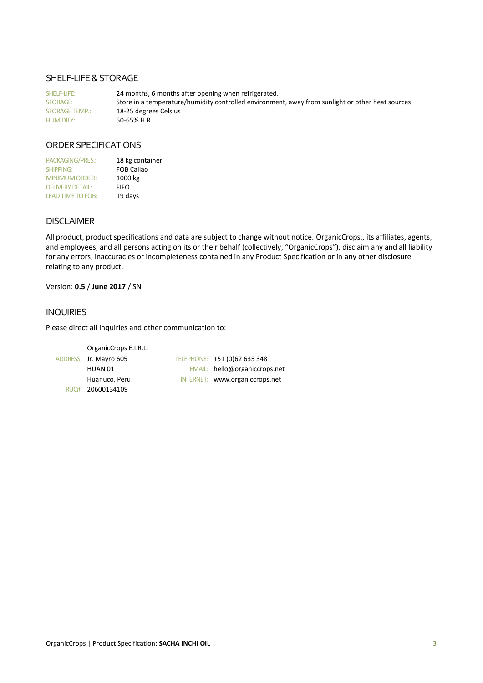# SHELF-LIFE & STORAGE

SHELF-LIFE: 24 months, 6 months after opening when refrigerated. STORAGE: Store in a temperature/humidity controlled environment, away from sunlight or other heat sources. STORAGE TEMP.: 18-25 degrees Celsius<br>HUMIDITY: 50-65% H.R.  $50-65%$  H.R.

# ORDER SPECIFICATIONS

| PACKAGING/PRES.:         | 18 kg container   |
|--------------------------|-------------------|
| <b>SHIPPING:</b>         | <b>FOB Callao</b> |
| <b>MINIMUM ORDER:</b>    | 1000 kg           |
| <b>DELIVERY DETAIL:</b>  | <b>FIFO</b>       |
| <b>LEAD TIME TO FOB:</b> | 19 days           |

# **DISCLAIMER**

All product, product specifications and data are subject to change without notice. OrganicCrops., its affiliates, agents, and employees, and all persons acting on its or their behalf (collectively, "OrganicCrops"), disclaim any and all liability for any errors, inaccuracies or incompleteness contained in any Product Specification or in any other disclosure relating to any product.

Version: **0.5** / **June 2017** / SN

## INQUIRIES

Please direct all inquiries and other communication to:

```
OrganicCrops E.I.R.L.
ADDRESS: Jr. Mayro 605 TELEPHONE: +51 (0)62 635 348
       HUAN 01 EMAIL: hello@organiccrops.net
       Huanuco, Peru INTERNET: www.organiccrops.net
  RUC#: 20600134109
```